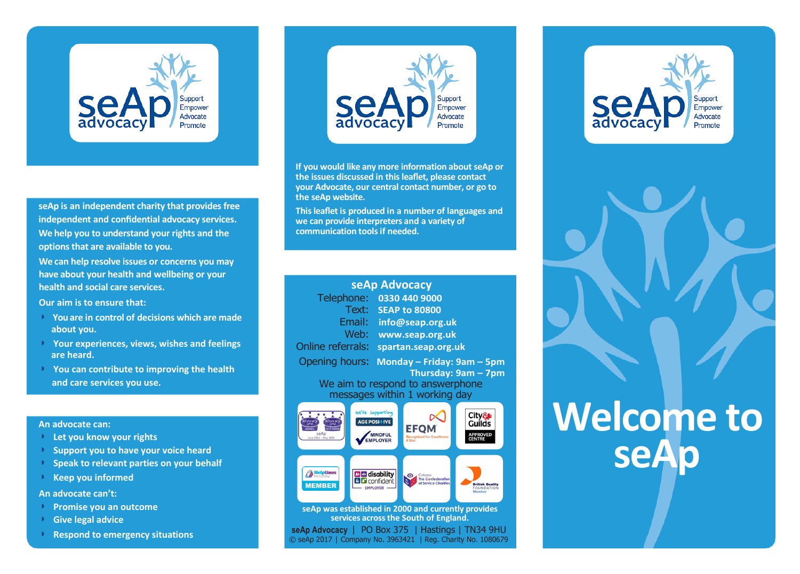

**seAp is an independent charity that provides free independent and confidential advocacy services. We help you to understand your rights and the options that are available to you.**

**We can help resolve issues or concerns you may have about your health and wellbeing or your health and social care services.**

**Our aim is to ensure that:**

- ◗ **You are in control of decisions which are made about you.**
- ◗ **Your experiences, views, wishes and feelings are heard.**
- ◗ **You can contribute to improving the health and care services you use.**

#### **An advocate can:**

- ◗ **Let you know your rights**
- ◗ **Support you to have your voice heard**
- ◗ **Speak to relevant parties on your behalf**
- ◗ **Keep you informed**

**An advocate can't:**

- ◗ **Promise you an outcome**
- ◗ **Give legal advice**
- ◗ **Respond to emergency situations**



**If you would like any more information about seAp or the issues discussed in this leaflet, please contact your Advocate, our central contact number, or go to the seAp website.**

**This leaflet is produced in a number of languages and we can provide interpreters and a variety of communication tools if needed.**

| seAp Advocacy                                                                                |                                                                            |                     |                                                            |                                                              |
|----------------------------------------------------------------------------------------------|----------------------------------------------------------------------------|---------------------|------------------------------------------------------------|--------------------------------------------------------------|
| Telephone:                                                                                   |                                                                            | 0330 440 9000       |                                                            |                                                              |
| Text:<br><b>SEAP to 80800</b>                                                                |                                                                            |                     |                                                            |                                                              |
| Email:<br>info@seap.org.uk                                                                   |                                                                            |                     |                                                            |                                                              |
| Web:                                                                                         | www.seap.org.uk                                                            |                     |                                                            |                                                              |
| <b>Online referrals:</b>                                                                     |                                                                            | spartan.seap.org.uk |                                                            |                                                              |
| Opening hours:<br>Monday - Friday: 9am - 5pm                                                 |                                                                            |                     |                                                            |                                                              |
| Thursday: 9am - 7pm                                                                          |                                                                            |                     |                                                            |                                                              |
| We aim to respond to answerphone                                                             |                                                                            |                     |                                                            |                                                              |
| messages within 1 working day                                                                |                                                                            |                     |                                                            |                                                              |
| Advocacy<br>Advocacy<br><b>OPM</b><br>OPM<br><b>MCA AWAR</b><br>seAp<br>June 2016 - May 2019 | We're supporting<br><b>AGE POSI+IVE</b><br><b>MINDFUL</b><br><b>PLOYER</b> | 4 Star              | E C<br><b>Recognised for Excellence</b>                    | City&<br>Guilds<br><b>APPROVED</b><br><b>CENTRE</b>          |
| Helplines<br>artnership<br><b>MEMBER</b>                                                     | <b>BIZ</b> disability<br><b>B Confident</b><br><b>EMPLOYER</b>             | ⊙                   | Cobseo<br><b>The Confederation</b><br>of Service Charities | <b>British Quality</b><br><b>FOUNDATION</b><br><b>Member</b> |
| seAp was established in 2000 and currently provides<br>services across the South of England. |                                                                            |                     |                                                            |                                                              |
| PO Box 375   Hastings   TN34 9HU<br>seAp Advocacy                                            |                                                                            |                     |                                                            |                                                              |
|                                                                                              |                                                                            |                     |                                                            |                                                              |

© seAp 2017 | Company No. 3963421 | Reg. Charity No. 1080679





# **Welcome to seAp**